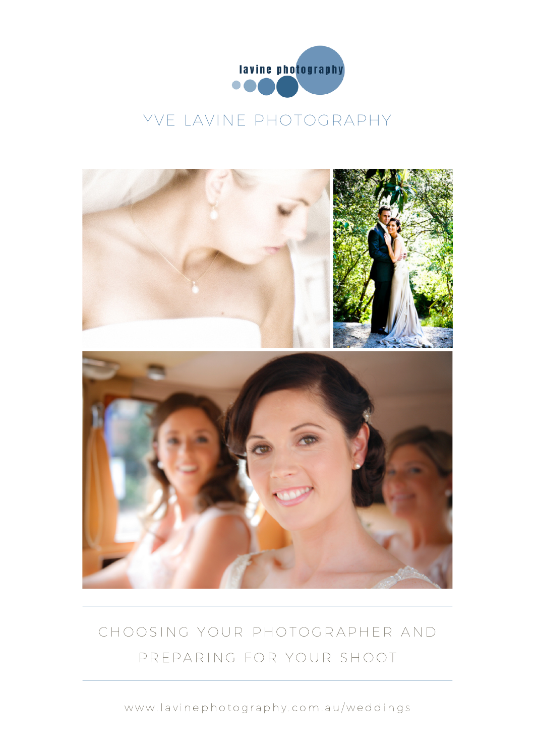

#### YVE LAVINE PHOTOGRAPHY



## CHOOSING YOUR PHOTOGRAPHER AND PREPARING FOR YOUR SHOOT

www.lavinephotography.com.au/weddings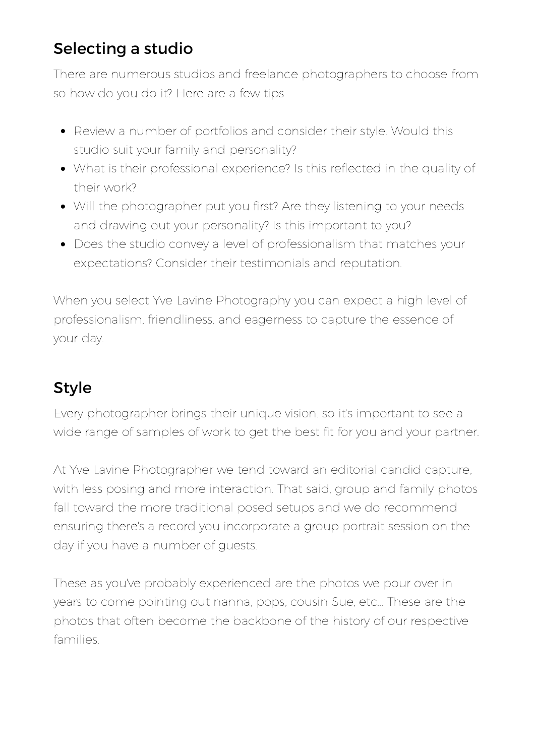### Selecting a studio

There are numerous studios and freelance photographers to choose from so how do you do it? Here are a few tips

- Review a number of portfolios and consider their style. Would this studio suit your family and personality?
- What is their professional experience? Is this reflected in the quality of their work?
- Will the photographer put you first? Are they listening to your needs and drawing out your personality? Is this important to you?
- Does the studio convey a level of professionalism that matches your expectations? Consider their testimonials and reputation.

When you select Yve Lavine Photography you can expect a high level of professionalism, friendliness, and eagerness to capture the essence of your day.

# Style

Every photographer brings their unique vision. so it's important to see a wide range of samples of work to get the best fit for you and your partner.

At Yve Lavine Photographer we tend toward an editorial candid capture, with less posing and more interaction. That said, group and family photos fall toward the more traditional posed setups and we do recommend ensuring there's a record you incorporate a group portrait session on the day if you have a number of guests.

These as you've probably experienced are the photos we pour over in years to come pointing out nanna, pops, cousin Sue, etc... These are the photos that often become the backbone of the history of our respective families.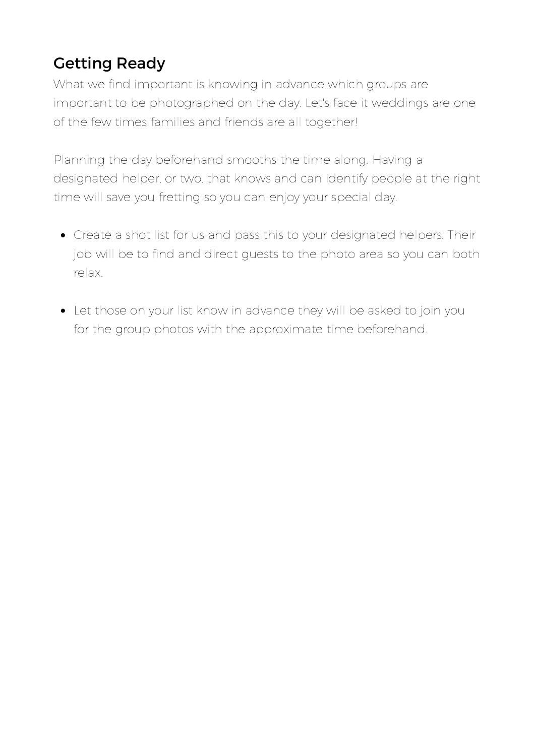## Getting Ready

What we find important is knowing in advance which groups are important to be photographed on the day. Let's face it weddings are one of the few times families and friends are all together!

Planning the day beforehand smooths the time along. Having a designated helper, or two, that knows and can identify people at the right time will save you fretting so you can enjoy your special day.

- Create a shot list for us and pass this to your designated helpers. Their job will be to find and direct guests to the photo area so you can both relax.
- Let those on your list know in advance they will be asked to join you for the group photos with the approximate time beforehand.